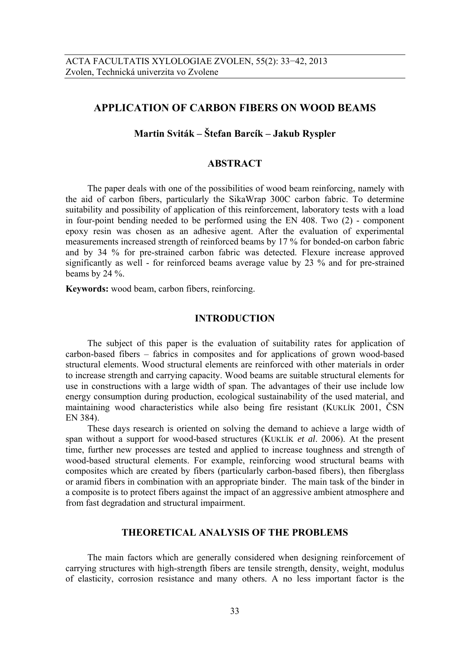# **APPLICATION OF CARBON FIBERS ON WOOD BEAMS**

# **Martin Sviták – Štefan Barcík – Jakub Ryspler**

# **ABSTRACT**

The paper deals with one of the possibilities of wood beam reinforcing, namely with the aid of carbon fibers, particularly the SikaWrap 300C carbon fabric. To determine suitability and possibility of application of this reinforcement, laboratory tests with a load in four-point bending needed to be performed using the EN 408. Two (2) - component epoxy resin was chosen as an adhesive agent. After the evaluation of experimental measurements increased strength of reinforced beams by 17 % for bonded-on carbon fabric and by 34 % for pre-strained carbon fabric was detected. Flexure increase approved significantly as well - for reinforced beams average value by 23 % and for pre-strained beams by 24 %.

**Keywords:** wood beam, carbon fibers, reinforcing.

#### **INTRODUCTION**

The subject of this paper is the evaluation of suitability rates for application of carbon-based fibers – fabrics in composites and for applications of grown wood-based structural elements. Wood structural elements are reinforced with other materials in order to increase strength and carrying capacity. Wood beams are suitable structural elements for use in constructions with a large width of span. The advantages of their use include low energy consumption during production, ecological sustainability of the used material, and maintaining wood characteristics while also being fire resistant (KUKLÍK 2001, ČSN EN 384).

These days research is oriented on solving the demand to achieve a large width of span without a support for wood-based structures (KUKLÍK *et al*. 2006). At the present time, further new processes are tested and applied to increase toughness and strength of wood-based structural elements. For example, reinforcing wood structural beams with composites which are created by fibers (particularly carbon-based fibers), then fiberglass or aramid fibers in combination with an appropriate binder. The main task of the binder in a composite is to protect fibers against the impact of an aggressive ambient atmosphere and from fast degradation and structural impairment.

## **THEORETICAL ANALYSIS OF THE PROBLEMS**

The main factors which are generally considered when designing reinforcement of carrying structures with high-strength fibers are tensile strength, density, weight, modulus of elasticity, corrosion resistance and many others. A no less important factor is the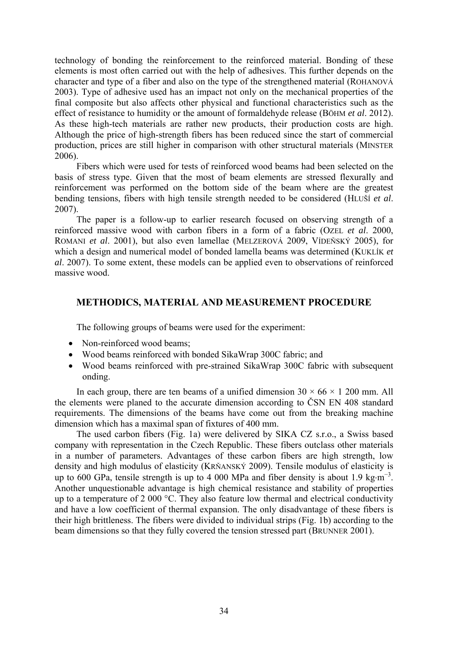technology of bonding the reinforcement to the reinforced material. Bonding of these elements is most often carried out with the help of adhesives. This further depends on the character and type of a fiber and also on the type of the strengthened material (ROHANOVÁ 2003). Type of adhesive used has an impact not only on the mechanical properties of the final composite but also affects other physical and functional characteristics such as the effect of resistance to humidity or the amount of formaldehyde release (BÖHM *et al*. 2012). As these high-tech materials are rather new products, their production costs are high. Although the price of high-strength fibers has been reduced since the start of commercial production, prices are still higher in comparison with other structural materials (MINSTER 2006).

Fibers which were used for tests of reinforced wood beams had been selected on the basis of stress type. Given that the most of beam elements are stressed flexurally and reinforcement was performed on the bottom side of the beam where are the greatest bending tensions, fibers with high tensile strength needed to be considered (HLUŠÍ *et al*. 2007).

The paper is a follow-up to earlier research focused on observing strength of a reinforced massive wood with carbon fibers in a form of a fabric (OZEL *et al*. 2000, ROMANI *et al*. 2001), but also even lamellae (MELZEROVÁ 2009, VÍDEŇSKÝ 2005), for which a design and numerical model of bonded lamella beams was determined (KUKLÍK *et al*. 2007). To some extent, these models can be applied even to observations of reinforced massive wood.

# **METHODICS, MATERIAL AND MEASUREMENT PROCEDURE**

The following groups of beams were used for the experiment:

- Non-reinforced wood beams:
- Wood beams reinforced with bonded SikaWrap 300C fabric; and
- Wood beams reinforced with pre-strained SikaWrap 300C fabric with subsequent onding.

In each group, there are ten beams of a unified dimension  $30 \times 66 \times 1200$  mm. All the elements were planed to the accurate dimension according to ČSN EN 408 standard requirements. The dimensions of the beams have come out from the breaking machine dimension which has a maximal span of fixtures of 400 mm.

The used carbon fibers (Fig. 1a) were delivered by SIKA CZ s.r.o., a Swiss based company with representation in the Czech Republic. These fibers outclass other materials in a number of parameters. Advantages of these carbon fibers are high strength, low density and high modulus of elasticity (KRŇANSKÝ 2009). Tensile modulus of elasticity is up to 600 GPa, tensile strength is up to 4 000 MPa and fiber density is about 1.9 kg⋅m<sup>-3</sup>. Another unquestionable advantage is high chemical resistance and stability of properties up to a temperature of 2 000 °C. They also feature low thermal and electrical conductivity and have a low coefficient of thermal expansion. The only disadvantage of these fibers is their high brittleness. The fibers were divided to individual strips (Fig. 1b) according to the beam dimensions so that they fully covered the tension stressed part (BRUNNER 2001).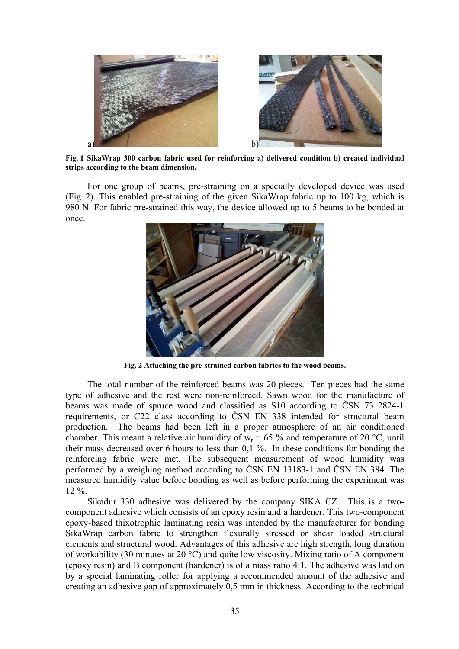

**Fig. 1 SikaWrap 300 carbon fabric used for reinforcing a) delivered condition b) created individual strips according to the beam dimension.** 

For one group of beams, pre-straining on a specially developed device was used (Fig. 2). This enabled pre-straining of the given SikaWrap fabric up to 100 kg, which is 980 N. For fabric pre-strained this way, the device allowed up to 5 beams to be bonded at once.



**Fig. 2 Attaching the pre-strained carbon fabrics to the wood beams.** 

The total number of the reinforced beams was 20 pieces. Ten pieces had the same type of adhesive and the rest were non-reinforced. Sawn wood for the manufacture of beams was made of spruce wood and classified as S10 according to ČSN 73 2824-1 requirements, or C22 class according to ČSN EN 338 intended for structural beam production. The beams had been left in a proper atmosphere of an air conditioned chamber. This meant a relative air humidity of  $w_r = 65 \%$  and temperature of 20 °C, until their mass decreased over 6 hours to less than 0,1 %. In these conditions for bonding the reinforcing fabric were met. The subsequent measurement of wood humidity was performed by a weighing method according to ČSN EN 13183-1 and ČSN EN 384. The measured humidity value before bonding as well as before performing the experiment was 12 %.

Sikadur 330 adhesive was delivered by the company SIKA CZ. This is a twocomponent adhesive which consists of an epoxy resin and a hardener. This two-component epoxy-based thixotrophic laminating resin was intended by the manufacturer for bonding SikaWrap carbon fabric to strengthen flexurally stressed or shear loaded structural elements and structural wood. Advantages of this adhesive are high strength, long duration of workability (30 minutes at 20 °C) and quite low viscosity. Mixing ratio of A component (epoxy resin) and B component (hardener) is of a mass ratio 4:1. The adhesive was laid on by a special laminating roller for applying a recommended amount of the adhesive and creating an adhesive gap of approximately 0,5 mm in thickness. According to the technical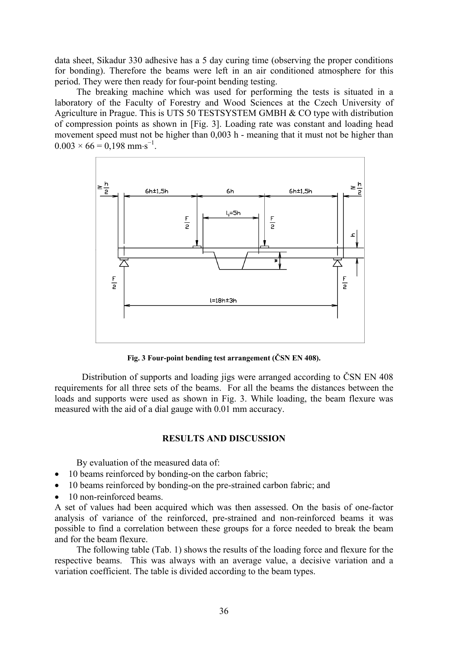data sheet, Sikadur 330 adhesive has a 5 day curing time (observing the proper conditions for bonding). Therefore the beams were left in an air conditioned atmosphere for this period. They were then ready for four-point bending testing.

The breaking machine which was used for performing the tests is situated in a laboratory of the Faculty of Forestry and Wood Sciences at the Czech University of Agriculture in Prague. This is UTS 50 TESTSYSTEM GMBH & CO type with distribution of compression points as shown in [Fig. 3]. Loading rate was constant and loading head movement speed must not be higher than 0,003 h - meaning that it must not be higher than  $0.003 \times 66 = 0,198$  mm·s<sup>-1</sup>.



**Fig. 3 Four-point bending test arrangement (ČSN EN 408).** 

 Distribution of supports and loading jigs were arranged according to ČSN EN 408 requirements for all three sets of the beams. For all the beams the distances between the loads and supports were used as shown in Fig. 3. While loading, the beam flexure was measured with the aid of a dial gauge with 0.01 mm accuracy.

# **RESULTS AND DISCUSSION**

By evaluation of the measured data of:

- 10 beams reinforced by bonding-on the carbon fabric;
- 10 beams reinforced by bonding-on the pre-strained carbon fabric; and
- 10 non-reinforced beams.

A set of values had been acquired which was then assessed. On the basis of one-factor analysis of variance of the reinforced, pre-strained and non-reinforced beams it was possible to find a correlation between these groups for a force needed to break the beam and for the beam flexure.

The following table (Tab. 1) shows the results of the loading force and flexure for the respective beams. This was always with an average value, a decisive variation and a variation coefficient. The table is divided according to the beam types.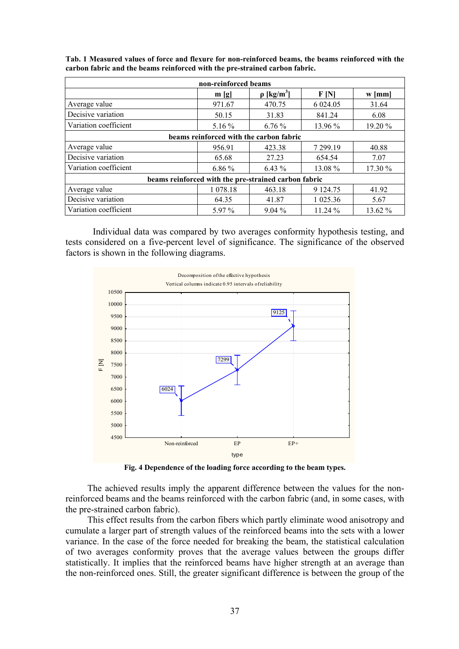| non-reinforced beams                                 |          |                             |            |          |  |  |  |  |  |
|------------------------------------------------------|----------|-----------------------------|------------|----------|--|--|--|--|--|
|                                                      | m[g]     | $\rho$ [kg/m <sup>3</sup> ] | F[N]       | $w$ [mm] |  |  |  |  |  |
| Average value                                        | 971.67   | 470.75                      | 6 0 24 .05 | 31.64    |  |  |  |  |  |
| Decisive variation                                   | 50.15    | 31.83                       | 841.24     | 6.08     |  |  |  |  |  |
| Variation coefficient                                | 5.16 $%$ | 6.76%                       | 13.96 %    | 19.20 %  |  |  |  |  |  |
| beams reinforced with the carbon fabric              |          |                             |            |          |  |  |  |  |  |
| Average value                                        | 956.91   | 423.38                      | 7 299.19   | 40.88    |  |  |  |  |  |
| Decisive variation                                   | 65.68    | 27.23                       | 654.54     | 7.07     |  |  |  |  |  |
| Variation coefficient                                | $6.86\%$ | $6.43\%$                    | 13.08 %    | 17.30 %  |  |  |  |  |  |
| beams reinforced with the pre-strained carbon fabric |          |                             |            |          |  |  |  |  |  |
| Average value                                        | 1 078.18 | 463.18                      | 9 1 24 .75 | 41.92    |  |  |  |  |  |
| Decisive variation                                   | 64.35    | 41.87                       | 1 025.36   | 5.67     |  |  |  |  |  |
| Variation coefficient                                | 5.97 %   | $9.04\%$                    | 11.24 %    | 13.62 %  |  |  |  |  |  |

**Tab. 1 Measured values of force and flexure for non-reinforced beams, the beams reinforced with the carbon fabric and the beams reinforced with the pre-strained carbon fabric.** 

 Individual data was compared by two averages conformity hypothesis testing, and tests considered on a five-percent level of significance. The significance of the observed factors is shown in the following diagrams.



**Fig. 4 Dependence of the loading force according to the beam types.** 

The achieved results imply the apparent difference between the values for the nonreinforced beams and the beams reinforced with the carbon fabric (and, in some cases, with the pre-strained carbon fabric).

This effect results from the carbon fibers which partly eliminate wood anisotropy and cumulate a larger part of strength values of the reinforced beams into the sets with a lower variance. In the case of the force needed for breaking the beam, the statistical calculation of two averages conformity proves that the average values between the groups differ statistically. It implies that the reinforced beams have higher strength at an average than the non-reinforced ones. Still, the greater significant difference is between the group of the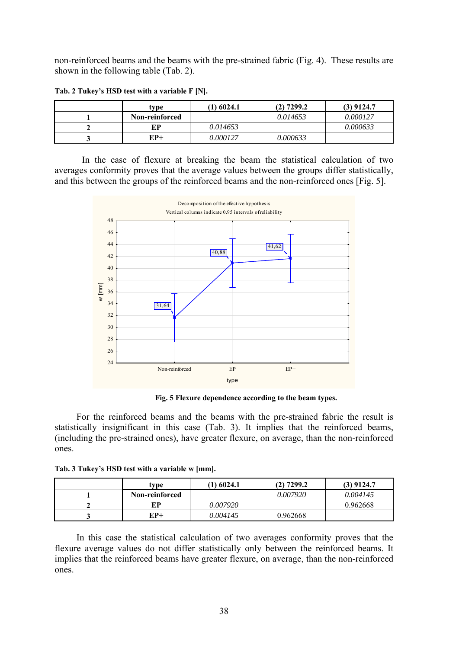non-reinforced beams and the beams with the pre-strained fabric (Fig. 4). These results are shown in the following table (Tab. 2).

| type           | $(1)$ 6024.1 | $(2)$ 7299.2 | $(3)$ 9124.7 |
|----------------|--------------|--------------|--------------|
| Non-reinforced |              | 0.014653     | 0.000127     |
| ЕP             | 0.014653     |              | 0.000633     |
| EP+            | 0.000127     | 0.000633     |              |

**Tab. 2 Tukey's HSD test with a variable F [N].** 

 In the case of flexure at breaking the beam the statistical calculation of two averages conformity proves that the average values between the groups differ statistically, and this between the groups of the reinforced beams and the non-reinforced ones [Fig. 5].



**Fig. 5 Flexure dependence according to the beam types.** 

For the reinforced beams and the beams with the pre-strained fabric the result is statistically insignificant in this case (Tab. 3). It implies that the reinforced beams, (including the pre-strained ones), have greater flexure, on average, than the non-reinforced ones.

| tvpe           | $(1)$ 6024.1 | $(2)$ 7299.2 | $(3)$ 9124.7 |
|----------------|--------------|--------------|--------------|
| Non-reinforced |              | 0.007920     | 0.004145     |
| ЕP             | 0.007920     |              | 0.962668     |
| EP+            | 0.004145     | 0.962668     |              |

In this case the statistical calculation of two averages conformity proves that the flexure average values do not differ statistically only between the reinforced beams. It implies that the reinforced beams have greater flexure, on average, than the non-reinforced ones.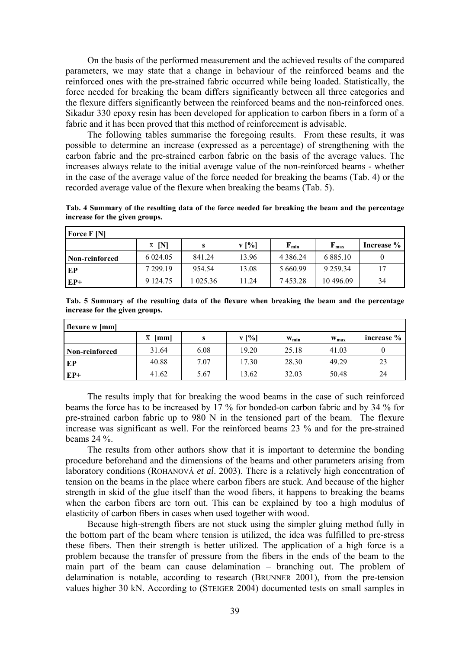On the basis of the performed measurement and the achieved results of the compared parameters, we may state that a change in behaviour of the reinforced beams and the reinforced ones with the pre-strained fabric occurred while being loaded. Statistically, the force needed for breaking the beam differs significantly between all three categories and the flexure differs significantly between the reinforced beams and the non-reinforced ones. Sikadur 330 epoxy resin has been developed for application to carbon fibers in a form of a fabric and it has been proved that this method of reinforcement is advisable.

The following tables summarise the foregoing results. From these results, it was possible to determine an increase (expressed as a percentage) of strengthening with the carbon fabric and the pre-strained carbon fabric on the basis of the average values. The increases always relate to the initial average value of the non-reinforced beams - whether in the case of the average value of the force needed for breaking the beams (Tab. 4) or the recorded average value of the flexure when breaking the beams (Tab. 5).

**Tab. 4 Summary of the resulting data of the force needed for breaking the beam and the percentage increase for the given groups.** 

| <b>Force F [N]</b> |                                |          |       |                           |                           |            |
|--------------------|--------------------------------|----------|-------|---------------------------|---------------------------|------------|
|                    | INI<br>$\overline{\mathbf{X}}$ |          | v [%] | $\mathbf{F}_{\text{min}}$ | $\mathbf{F}_{\text{max}}$ | Increase % |
| Non-reinforced     | 6 0 24 0 5                     | 841.24   | 13.96 | 4 3 8 6 .24               | 6 8 8 5 1 0               |            |
| EP                 | 7 299 19                       | 954.54   | 13.08 | 5 660.99                  | 9 2 5 9 3 4               | 17         |
| $EP+$              | 9 1 24 75                      | 1 025.36 | 11.24 | 7453.28                   | 10 496.09                 | 34         |

| Tab. 5 Summary of the resulting data of the flexure when breaking the beam and the percentage |  |  |  |  |  |  |
|-----------------------------------------------------------------------------------------------|--|--|--|--|--|--|
| increase for the given groups.                                                                |  |  |  |  |  |  |

| <b>flexure w</b> [mm] |                                 |      |       |            |                  |            |
|-----------------------|---------------------------------|------|-------|------------|------------------|------------|
|                       | $\overline{\mathbf{X}}$<br>[mm] |      | v [%] | $W_{\min}$ | $W_{\text{max}}$ | increase % |
| Non-reinforced        | 31.64                           | 6.08 | 19.20 | 25.18      | 41.03            |            |
| I EP                  | 40.88                           | 7.07 | 17.30 | 28.30      | 49.29            | 23         |
| $EP+$                 | 41.62                           | 5.67 | 13.62 | 32.03      | 50.48            | 24         |

The results imply that for breaking the wood beams in the case of such reinforced beams the force has to be increased by 17 % for bonded-on carbon fabric and by 34 % for pre-strained carbon fabric up to 980 N in the tensioned part of the beam. The flexure increase was significant as well. For the reinforced beams 23 % and for the pre-strained beams 24 %.

The results from other authors show that it is important to determine the bonding procedure beforehand and the dimensions of the beams and other parameters arising from laboratory conditions (ROHANOVÁ *et al*. 2003). There is a relatively high concentration of tension on the beams in the place where carbon fibers are stuck. And because of the higher strength in skid of the glue itself than the wood fibers, it happens to breaking the beams when the carbon fibers are torn out. This can be explained by too a high modulus of elasticity of carbon fibers in cases when used together with wood.

Because high-strength fibers are not stuck using the simpler gluing method fully in the bottom part of the beam where tension is utilized, the idea was fulfilled to pre-stress these fibers. Then their strength is better utilized. The application of a high force is a problem because the transfer of pressure from the fibers in the ends of the beam to the main part of the beam can cause delamination – branching out. The problem of delamination is notable, according to research (BRUNNER 2001), from the pre-tension values higher 30 kN. According to (STEIGER 2004) documented tests on small samples in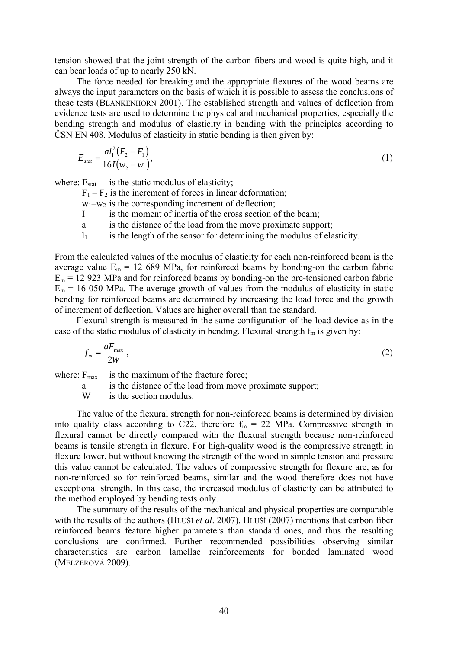tension showed that the joint strength of the carbon fibers and wood is quite high, and it can bear loads of up to nearly 250 kN.

The force needed for breaking and the appropriate flexures of the wood beams are always the input parameters on the basis of which it is possible to assess the conclusions of these tests (BLANKENHORN 2001). The established strength and values of deflection from evidence tests are used to determine the physical and mechanical properties, especially the bending strength and modulus of elasticity in bending with the principles according to ČSN EN 408. Modulus of elasticity in static bending is then given by:

$$
E_{\text{stat}} = \frac{al_1^2 (F_2 - F_1)}{16I(w_2 - w_1)},\tag{1}
$$

where:  $E_{stat}$  is the static modulus of elasticity;

 $F_1 - F_2$  is the increment of forces in linear deformation;

 $w_1-w_2$  is the corresponding increment of deflection;

- I is the moment of inertia of the cross section of the beam;
- a is the distance of the load from the move proximate support;
- $l_1$  is the length of the sensor for determining the modulus of elasticity.

From the calculated values of the modulus of elasticity for each non-reinforced beam is the average value  $E_m = 12\,689$  MPa, for reinforced beams by bonding-on the carbon fabric  $E_m$  = 12 923 MPa and for reinforced beams by bonding-on the pre-tensioned carbon fabric  $E_m$  = 16 050 MPa. The average growth of values from the modulus of elasticity in static bending for reinforced beams are determined by increasing the load force and the growth of increment of deflection. Values are higher overall than the standard.

Flexural strength is measured in the same configuration of the load device as in the case of the static modulus of elasticity in bending. Flexural strength  $f_m$  is given by:

$$
f_m = \frac{aF_{\text{max}}}{2W},\tag{2}
$$

where:  $F_{\text{max}}$  is the maximum of the fracture force;

a is the distance of the load from move proximate support;

W is the section modulus.

The value of the flexural strength for non-reinforced beams is determined by division into quality class according to C22, therefore  $f_m = 22$  MPa. Compressive strength in flexural cannot be directly compared with the flexural strength because non-reinforced beams is tensile strength in flexure. For high-quality wood is the compressive strength in flexure lower, but without knowing the strength of the wood in simple tension and pressure this value cannot be calculated. The values of compressive strength for flexure are, as for non-reinforced so for reinforced beams, similar and the wood therefore does not have exceptional strength. In this case, the increased modulus of elasticity can be attributed to the method employed by bending tests only.

The summary of the results of the mechanical and physical properties are comparable with the results of the authors (HLUŠÍ *et al*. 2007). HLUŠÍ (2007) mentions that carbon fiber reinforced beams feature higher parameters than standard ones, and thus the resulting conclusions are confirmed. Further recommended possibilities observing similar characteristics are carbon lamellae reinforcements for bonded laminated wood (MELZEROVÁ 2009).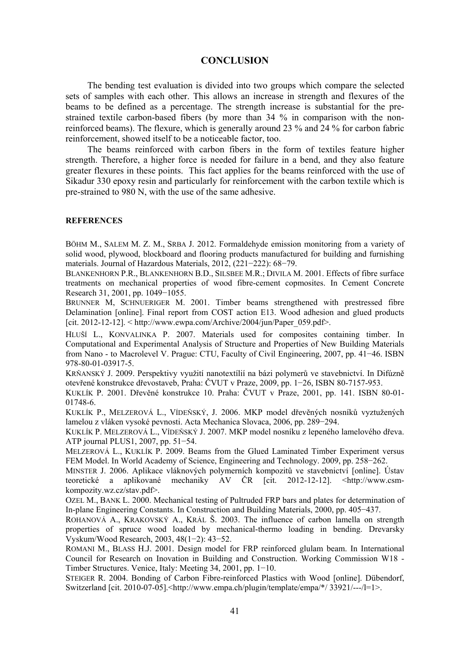## **CONCLUSION**

The bending test evaluation is divided into two groups which compare the selected sets of samples with each other. This allows an increase in strength and flexures of the beams to be defined as a percentage. The strength increase is substantial for the prestrained textile carbon-based fibers (by more than 34 % in comparison with the nonreinforced beams). The flexure, which is generally around 23 % and 24 % for carbon fabric reinforcement, showed itself to be a noticeable factor, too.

The beams reinforced with carbon fibers in the form of textiles feature higher strength. Therefore, a higher force is needed for failure in a bend, and they also feature greater flexures in these points. This fact applies for the beams reinforced with the use of Sikadur 330 epoxy resin and particularly for reinforcement with the carbon textile which is pre-strained to 980 N, with the use of the same adhesive.

#### **REFERENCES**

BÖHM M., SALEM M. Z. M., SRBA J. 2012. Formaldehyde emission monitoring from a variety of solid wood, plywood, blockboard and flooring products manufactured for building and furnishing materials. Journal of Hazardous Materials, 2012, (221−222): 68−79.

BLANKENHORN P.R., BLANKENHORN B.D., SILSBEE M.R.; DIVILA M. 2001. Effects of fibre surface treatments on mechanical properties of wood fibre-cement copmosites. In Cement Concrete Research 31, 2001, pp. 1049−1055.

BRUNNER M, SCHNUERIGER M. 2001. Timber beams strengthened with prestressed fibre Delamination [online]. Final report from COST action E13. Wood adhesion and glued products [cit. 2012-12-12].  $\lt$  http://www.ewpa.com/Archive/2004/jun/Paper\_059.pdf>.

HLUŠÍ L., KONVALINKA P. 2007. Materials used for composites containing timber. In Computational and Experimental Analysis of Structure and Properties of New Building Materials from Nano - to Macrolevel V. Prague: CTU, Faculty of Civil Engineering, 2007, pp. 41−46. ISBN 978-80-01-03917-5.

KRŇANSKÝ J. 2009. Perspektivy využití nanotextílií na bázi polymerů ve stavebnictví. In Difúzně otevřené konstrukce dřevostaveb, Praha: ČVUT v Praze, 2009, pp. 1−26, ISBN 80-7157-953.

KUKLÍK P. 2001. Dřevěné konstrukce 10. Praha: ČVUT v Praze, 2001, pp. 141. ISBN 80-01- 01748-6.

KUKLÍK P., MELZEROVÁ L., VÍDEŇSKÝ, J. 2006. MKP model dřevěných nosníků vyztužených lamelou z vláken vysoké pevnosti. Acta Mechanica Slovaca, 2006, pp. 289−294.

KUKLÍK P. MELZEROVÁ L., VÍDEŇSKÝ J. 2007. MKP model nosníku z lepeného lamelového dřeva. ATP journal PLUS1, 2007, pp. 51−54.

MELZEROVÁ L., KUKLÍK P. 2009. Beams from the Glued Laminated Timber Experiment versus FEM Model. In World Academy of Science, Engineering and Technology. 2009, pp. 258−262.

MINSTER J. 2006. Aplikace vláknových polymerních kompozitů ve stavebnictví [online]. Ústav teoretické a aplikované mechaniky AV ČR [cit. 2012-12-12]. <http://www.csmkompozity.wz.cz/stav.pdf>.

OZEL M., BANK L. 2000. Mechanical testing of Pultruded FRP bars and plates for determination of In-plane Engineering Constants. In Construction and Building Materials, 2000, pp. 405−437.

ROHANOVÁ A., KRAKOVSKÝ A., KRÁL Š. 2003. The influence of carbon lamella on strength properties of spruce wood loaded by mechanical-thermo loading in bending. Drevarsky Vyskum/Wood Research, 2003, 48(1−2): 43−52.

ROMANI M., BLASS H.J. 2001. Design model for FRP reinforced glulam beam. In International Council for Research on Inovation in Building and Construction. Working Commission W18 - Timber Structures. Venice, Italy: Meeting 34, 2001, pp. 1−10.

STEIGER R. 2004. Bonding of Carbon Fibre-reinforced Plastics with Wood [online]. Dübendorf, Switzerland [cit. 2010-07-05].  $\langle$ http://www.empa.ch/plugin/template/empa/\*/33921/---/l=1>.